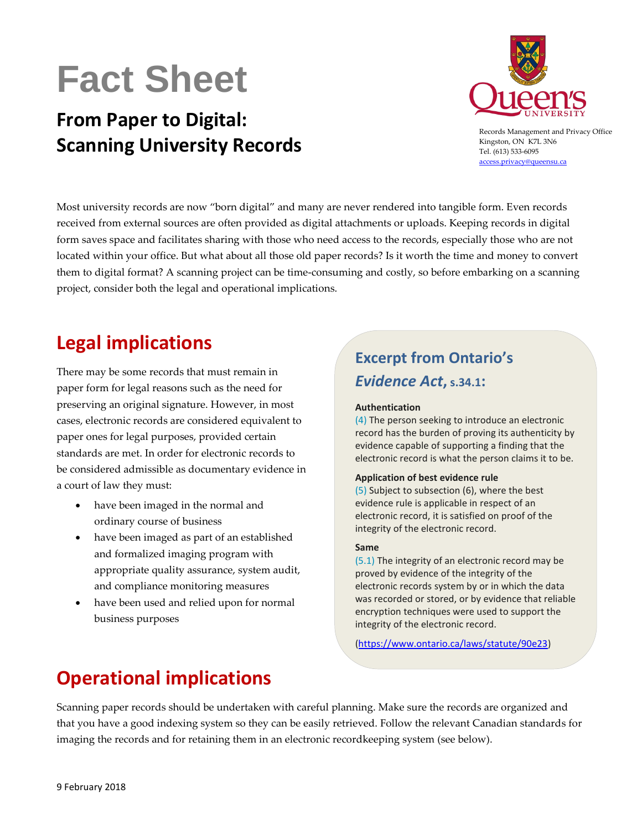# **Fact Sheet**

## **From Paper to Digital: Scanning University Records**



Records Management and Privacy Office Kingston, ON K7L 3N6 Tel. (613) 533-6095 [access.privacy@queensu.ca](mailto:access.privacy@queensu.ca)

Most university records are now "born digital" and many are never rendered into tangible form. Even records received from external sources are often provided as digital attachments or uploads. Keeping records in digital form saves space and facilitates sharing with those who need access to the records, especially those who are not located within your office. But what about all those old paper records? Is it worth the time and money to convert them to digital format? A scanning project can be time-consuming and costly, so before embarking on a scanning project, consider both the legal and operational implications.

### **Legal implications**

There may be some records that must remain in paper form for legal reasons such as the need for preserving an original signature. However, in most cases, electronic records are considered equivalent to paper ones for legal purposes, provided certain standards are met. In order for electronic records to be considered admissible as documentary evidence in a court of law they must:

- have been imaged in the normal and ordinary course of business
- have been imaged as part of an established and formalized imaging program with appropriate quality assurance, system audit, and compliance monitoring measures
- have been used and relied upon for normal business purposes

### **Excerpt from Ontario's**  *Evidence Act***, s.34.1:**

#### **Authentication**

[\(4\)](http://www.e-laws.gov.on.ca/html/statutes/french/elaws_statutes_90e23_f.htm#s34p1s4) The person seeking to introduce an electronic record has the burden of proving its authenticity by evidence capable of supporting a finding that the electronic record is what the person claims it to be.

#### **Application of best evidence rule**

[\(5\)](http://www.e-laws.gov.on.ca/html/statutes/french/elaws_statutes_90e23_f.htm#s34p1s5) Subject to subsection (6), where the best evidence rule is applicable in respect of an electronic record, it is satisfied on proof of the integrity of the electronic record.

#### **Same**

[\(5.1\)](http://www.e-laws.gov.on.ca/html/statutes/french/elaws_statutes_90e23_f.htm#s34p1s5p1) The integrity of an electronic record may be proved by evidence of the integrity of the electronic records system by or in which the data was recorded or stored, or by evidence that reliable encryption techniques were used to support the integrity of the electronic record.

[\(https://www.ontario.ca/laws/statute/90e23\)](https://www.ontario.ca/laws/statute/90e23)

### **Operational implications**

Scanning paper records should be undertaken with careful planning. Make sure the records are organized and that you have a good indexing system so they can be easily retrieved. Follow the relevant Canadian standards for imaging the records and for retaining them in an electronic recordkeeping system (see below).